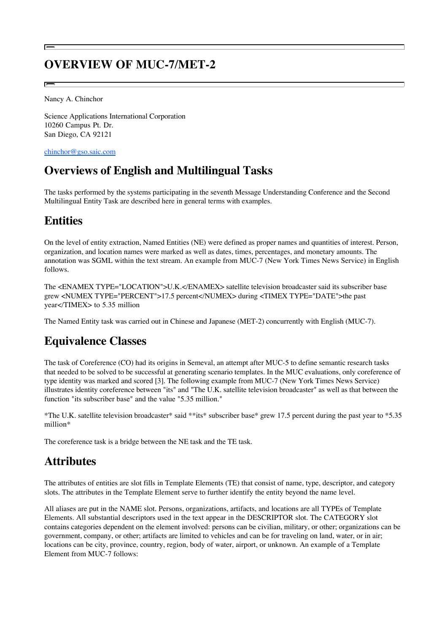# **OVERVIEW OF MUC-7/MET-2**

Nancy A. Chinchor

Science Applications International Corporation 10260 Campus Pt. Dr. San Diego, CA 92121

chinchor@gso.saic.com

# **Overviews of English and Multilingual Tasks**

The tasks performed by the systems participating in the seventh Message Understanding Conference and the Second Multilingual Entity Task are described here in general terms with examples.

### **Entities**

On the level of entity extraction, Named Entities (NE) were defined as proper names and quantities of interest. Person, organization, and location names were marked as well as dates, times, percentages, and monetary amounts. The annotation was SGML within the text stream. An example from MUC-7 (New York Times News Service) in English follows.

The <ENAMEX TYPE="LOCATION">U.K.</ENAMEX> satellite television broadcaster said its subscriber base grew <NUMEX TYPE="PERCENT">17.5 percent</NUMEX> during <TIMEX TYPE="DATE">the past year</TIMEX> to 5.35 million

The Named Entity task was carried out in Chinese and Japanese (MET-2) concurrently with English (MUC-7).

## **Equivalence Classes**

The task of Coreference (CO) had its origins in Semeval, an attempt after MUC-5 to define semantic research tasks that needed to be solved to be successful at generating scenario templates. In the MUC evaluations, only coreference of type identity was marked and scored [3]. The following example from MUC-7 (New York Times News Service) illustrates identity coreference between "its" and "The U.K. satellite television broadcaster" as well as that between the function "its subscriber base" and the value "5.35 million."

\*The U.K. satellite television broadcaster\* said \*\*its\* subscriber base\* grew 17.5 percent during the past year to \*5.35 million\*

The coreference task is a bridge between the NE task and the TE task.

## **Attributes**

The attributes of entities are slot fills in Template Elements (TE) that consist of name, type, descriptor, and category slots. The attributes in the Template Element serve to further identify the entity beyond the name level.

All aliases are put in the NAME slot. Persons, organizations, artifacts, and locations are all TYPEs of Template Elements. All substantial descriptors used in the text appear in the DESCRIPTOR slot. The CATEGORY slot contains categories dependent on the element involved: persons can be civilian, military, or other; organizations can be government, company, or other; artifacts are limited to vehicles and can be for traveling on land, water, or in air; locations can be city, province, country, region, body of water, airport, or unknown. An example of a Template Element from MUC-7 follows: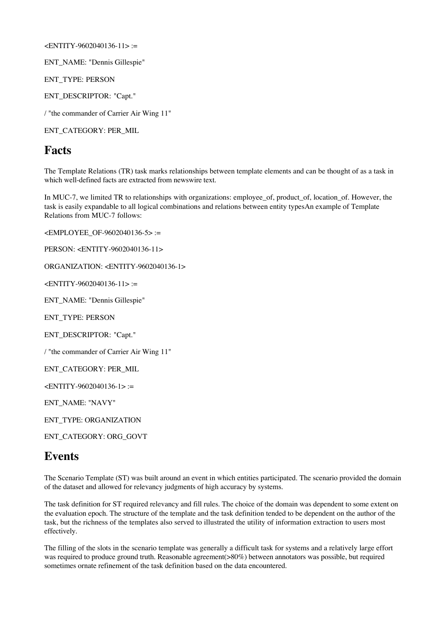#### <ENTITY-9602040136-11> :=

ENT\_NAME: "Dennis Gillespie"

ENT\_TYPE: PERSON

ENT\_DESCRIPTOR: "Capt."

/ "the commander of Carrier Air Wing 11"

ENT\_CATEGORY: PER\_MIL

### **Facts**

The Template Relations (TR) task marks relationships between template elements and can be thought of as a task in which well-defined facts are extracted from newswire text.

In MUC-7, we limited TR to relationships with organizations: employee\_of, product\_of, location\_of. However, the task is easily expandable to all logical combinations and relations between entity typesAn example of Template Relations from MUC-7 follows:

<EMPLOYEE\_OF-9602040136-5> :=

PERSON: <ENTITY-9602040136-11>

ORGANIZATION: <ENTITY-9602040136-1>

<ENTITY-9602040136-11> :=

ENT\_NAME: "Dennis Gillespie"

ENT\_TYPE: PERSON

ENT\_DESCRIPTOR: "Capt."

/ "the commander of Carrier Air Wing 11"

ENT\_CATEGORY: PER\_MIL

<ENTITY-9602040136-1> :=

ENT\_NAME: "NAVY"

ENT\_TYPE: ORGANIZATION

ENT\_CATEGORY: ORG\_GOVT

### **Events**

The Scenario Template (ST) was built around an event in which entities participated. The scenario provided the domain of the dataset and allowed for relevancy judgments of high accuracy by systems.

The task definition for ST required relevancy and fill rules. The choice of the domain was dependent to some extent on the evaluation epoch. The structure of the template and the task definition tended to be dependent on the author of the task, but the richness of the templates also served to illustrated the utility of information extraction to users most effectively.

The filling of the slots in the scenario template was generally a difficult task for systems and a relatively large effort was required to produce ground truth. Reasonable agreement( $>80\%$ ) between annotators was possible, but required sometimes ornate refinement of the task definition based on the data encountered.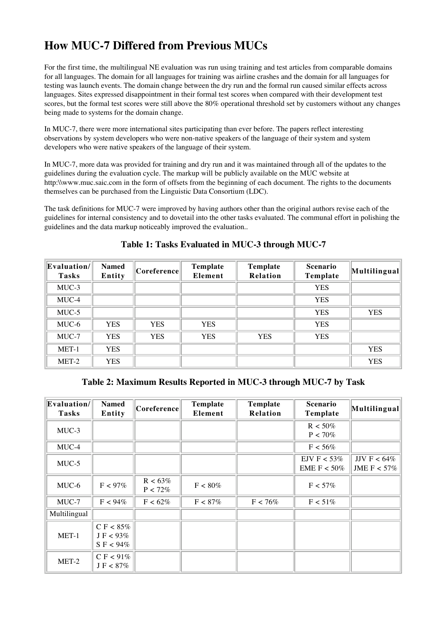# **How MUC-7 Differed from Previous MUCs**

For the first time, the multilingual NE evaluation was run using training and test articles from comparable domains for all languages. The domain for all languages for training was airline crashes and the domain for all languages for testing was launch events. The domain change between the dry run and the formal run caused similar effects across languages. Sites expressed disappointment in their formal test scores when compared with their development test scores, but the formal test scores were still above the 80% operational threshold set by customers without any changes being made to systems for the domain change.

In MUC-7, there were more international sites participating than ever before. The papers reflect interesting observations by system developers who were non-native speakers of the language of their system and system developers who were native speakers of the language of their system.

In MUC-7, more data was provided for training and dry run and it was maintained through all of the updates to the guidelines during the evaluation cycle. The markup will be publicly available on the MUC website at http:\\www.muc.saic.com in the form of offsets from the beginning of each document. The rights to the documents themselves can be purchased from the Linguistic Data Consortium (LDC).

The task definitions for MUC-7 were improved by having authors other than the original authors revise each of the guidelines for internal consistency and to dovetail into the other tasks evaluated. The communal effort in polishing the guidelines and the data markup noticeably improved the evaluation..

| Evaluation/<br><b>Tasks</b> | <b>Named</b><br>Entity | Coreference | Template<br>Element | Template<br>Relation | <b>Scenario</b><br>Template | Multilingual |
|-----------------------------|------------------------|-------------|---------------------|----------------------|-----------------------------|--------------|
| $MUC-3$                     |                        |             |                     |                      | <b>YES</b>                  |              |
| MUC-4                       |                        |             |                     |                      | <b>YES</b>                  |              |
| $MUC-5$                     |                        |             |                     |                      | <b>YES</b>                  | <b>YES</b>   |
| MUC-6                       | <b>YES</b>             | <b>YES</b>  | <b>YES</b>          |                      | <b>YES</b>                  |              |
| MUC-7                       | <b>YES</b>             | <b>YES</b>  | <b>YES</b>          | <b>YES</b>           | <b>YES</b>                  |              |
| MET-1                       | <b>YES</b>             |             |                     |                      |                             | <b>YES</b>   |
| MET-2                       | <b>YES</b>             |             |                     |                      |                             | <b>YES</b>   |

#### **Table 1: Tasks Evaluated in MUC-3 through MUC-7**

**Table 2: Maximum Results Reported in MUC-3 through MUC-7 by Task**

| Evaluation/  <br><b>Tasks</b> | <b>Named</b><br>Entity                               | Coreference              | <b>Template</b><br>Element | Template<br>Relation | <b>Scenario</b><br>Template    | $\left\  \mathbf{Multilingular} \right\ $ |
|-------------------------------|------------------------------------------------------|--------------------------|----------------------------|----------------------|--------------------------------|-------------------------------------------|
| $MUC-3$                       |                                                      |                          |                            |                      | $R < 50\%$<br>$P < 70\%$       |                                           |
| MUC-4                         |                                                      |                          |                            |                      | $F < 56\%$                     |                                           |
| $MUC-5$                       |                                                      |                          |                            |                      | EJV F $<$ 53%<br>EME F $<50\%$ | JJV F < $64\%$<br>JME F $< 57\%$          |
| MUC-6                         | $F < 97\%$                                           | $R < 63\%$<br>$P < 72\%$ | $F < 80\%$                 |                      | $F < 57\%$                     |                                           |
| $MUC-7$                       | $F < 94\%$                                           | $F < 62\%$               | $F < 87\%$                 | $F < 76\%$           | $F < 51\%$                     |                                           |
| Multilingual                  |                                                      |                          |                            |                      |                                |                                           |
| MET-1                         | C F < $85\%$<br>$J \, \rm{F} < 93\%$<br>$S$ F < 94\% |                          |                            |                      |                                |                                           |
| MET-2                         | C F $< 91\%$<br>$J \, \rm{F} < 87\%$                 |                          |                            |                      |                                |                                           |